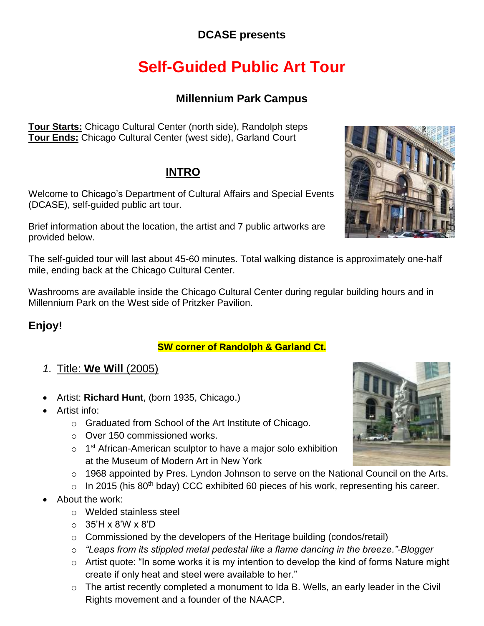# **DCASE presents**

# **Self-Guided Public Art Tour**

# **Millennium Park Campus**

**Tour Starts:** Chicago Cultural Center (north side), Randolph steps **Tour Ends:** Chicago Cultural Center (west side), Garland Court

# **INTRO**

Welcome to Chicago's Department of Cultural Affairs and Special Events (DCASE), self-guided public art tour.

Brief information about the location, the artist and 7 public artworks are provided below.

The self-guided tour will last about 45-60 minutes. Total walking distance is approximately one-half mile, ending back at the Chicago Cultural Center.

Washrooms are available inside the Chicago Cultural Center during regular building hours and in Millennium Park on the West side of Pritzker Pavilion.

# **Enjoy!**

### **SW corner of Randolph & Garland Ct.**

- *1.* Title: **We Will** (2005)
- Artist: Richard Hunt, (born 1935, Chicago.)
- Artist info:
	- o Graduated from School of the Art Institute of Chicago.
	- $\circ$  Over 150 commissioned works.
	- $\circ$  1<sup>st</sup> African-American sculptor to have a major solo exhibition at the Museum of Modern Art in New York
	- $\circ$  1968 appointed by Pres. Lyndon Johnson to serve on the National Council on the Arts.
	- $\circ$  In 2015 (his 80<sup>th</sup> bday) CCC exhibited 60 pieces of his work, representing his career.
- About the work:
	- $\circ$  Welded stainless steel
	- $\circ$  35'H x 8'W x 8'D
	- $\circ$  Commissioned by the developers of the Heritage building (condos/retail)
	- $\circ$  "Leaps from its stippled metal pedestal like a flame dancing in the breeze."-Blogger
	- create if only heat and steel were available to her."  $\circ$  Artist quote: "In some works it is my intention to develop the kind of forms Nature might
	- $\circ$  The artist recently completed a monument to Ida B. Wells, an early leader in the Civil Rights movement and a founder of the NAACP.



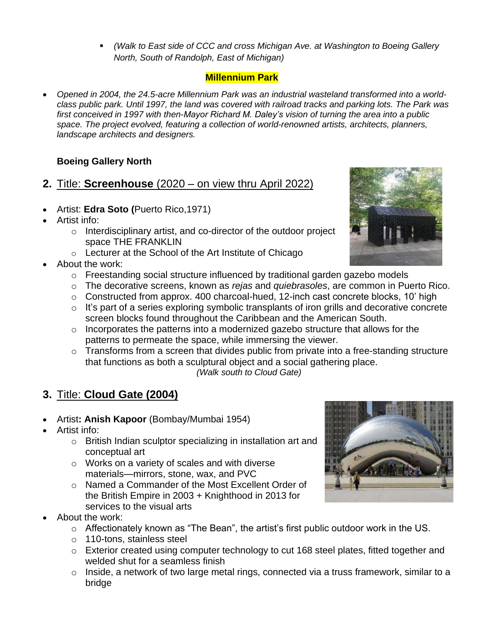▪ *(Walk to East side of CCC and cross Michigan Ave. at Washington to Boeing Gallery North, South of Randolph, East of Michigan)* 

### **Millennium Park**

• Opened in 2004, the 24.5-acre Millennium Park was an industrial wasteland transformed into a world- *class public park. Until 1997, the land was covered with railroad tracks and parking lots. The Park was first conceived in 1997 with then-Mayor Richard M. Daley's vision of turning the area into a public space. The project evolved, featuring a collection of world-renowned artists, architects, planners, landscape architects and designers.* 

### **Boeing Gallery North**

- **2.** Title: **Screenhouse** (2020 on view thru April 2022)
- Artist: **Edra Soto (Puerto Rico, 1971)**
- Artist info:
	- $\circ$  Interdisciplinary artist, and co-director of the outdoor project space THE FRANKLIN
	- $\circ$  Lecturer at the School of the Art Institute of Chicago
- About the work:
	- $\circ$  Freestanding social structure influenced by traditional garden gazebo models
	- o The decorative screens, known as *rejas* and *quiebrasoles*, are common in Puerto Rico.
	- $\circ$  Constructed from approx. 400 charcoal-hued, 12-inch cast concrete blocks, 10' high
	- $\circ$  It's part of a series exploring symbolic transplants of iron grills and decorative concrete screen blocks found throughout the Caribbean and the American South.
	- $\circ$  Incorporates the patterns into a modernized gazebo structure that allows for the patterns to permeate the space, while immersing the viewer.
	- $\circ$  Transforms from a screen that divides public from private into a free-standing structure  *(Walk south to Cloud Gate)*  that functions as both a sculptural object and a social gathering place.

# **3.** Title: **Cloud Gate (2004)**

- Artist: **Anish Kapoor** (Bombay/Mumbai 1954)
- Artist info:
	- $\circ$  British Indian sculptor specializing in installation art and conceptual art
	- $\circ$  Works on a variety of scales and with diverse materials—mirrors, stone, wax, and PVC
	- o Named a Commander of the Most Excellent Order of the British Empire in 2003 + Knighthood in 2013 for services to the visual arts
- About the work:
	- $\circ$  Affectionately known as "The Bean", the artist's first public outdoor work in the US.
	- o 110-tons, stainless steel
	- $\circ$  Exterior created using computer technology to cut 168 steel plates, fitted together and welded shut for a seamless finish
	- $\circ$  Inside, a network of two large metal rings, connected via a truss framework, similar to a bridge



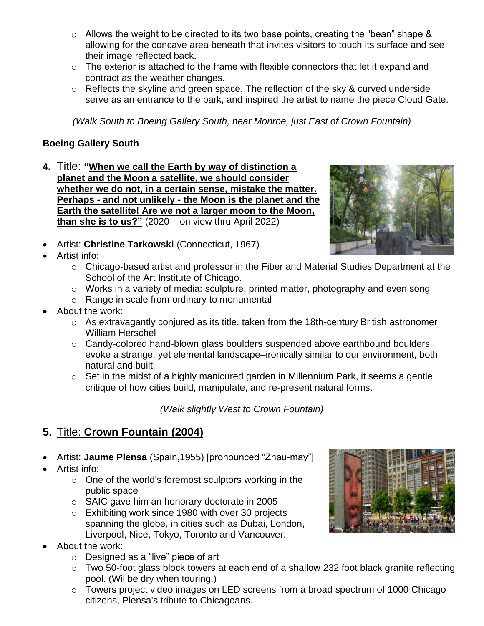- allowing for the concave area beneath that invites visitors to touch its surface and see  $\circ$  Allows the weight to be directed to its two base points, creating the "bean" shape & their image reflected back.
- $\circ$  The exterior is attached to the frame with flexible connectors that let it expand and contract as the weather changes.
- $\circ$  Reflects the skyline and green space. The reflection of the sky & curved underside serve as an entrance to the park, and inspired the artist to name the piece Cloud Gate.

*(Walk South to Boeing Gallery South, near Monroe, just East of Crown Fountain)* 

#### **Boeing Gallery South**

- **4.** Title: **"When we call the Earth by way of distinction a planet and the Moon a satellite, we should consider whether we do not, in a certain sense, mistake the matter. Perhaps - and not unlikely - the Moon is the planet and the Earth the satellite! Are we not a larger moon to the Moon, than she is to us?"** (2020 – on view thru April 2022)
- **Artist: Christine Tarkowski (Connecticut, 1967)**
- Artist info:
	- o Chicago-based artist and professor in the Fiber and Material Studies Department at the School of the Art Institute of Chicago.
	- $\circ$  Works in a variety of media: sculpture, printed matter, photography and even song
	- o Range in scale from ordinary to monumental
- About the work:
	- $\circ$  As extravagantly conjured as its title, taken from the 18th-century British astronomer William Herschel
	- evoke a strange, yet elemental landscape–ironically similar to our environment, both  $\circ$  Candy-colored hand-blown glass boulders suspended above earthbound boulders natural and built.
	- $\circ$  Set in the midst of a highly manicured garden in Millennium Park, it seems a gentle critique of how cities build, manipulate, and re-present natural forms.

*(Walk slightly West to Crown Fountain)* 

### **5.** Title: **Crown Fountain (2004)**

- Artist: **Jaume Plensa** (Spain, 1955) [pronounced "Zhau-may"]
- Artist info:
	- $\circ$  One of the world's foremost sculptors working in the public space
	- $\circ$  SAIC gave him an honorary doctorate in 2005
	- $\circ$  Exhibiting work since 1980 with over 30 projects spanning the globe, in cities such as Dubai, London, Liverpool, Nice, Tokyo, Toronto and Vancouver.
- About the work:
	- $\circ$  Designed as a "live" piece of art
	- pool. (Wil be dry when touring.)  $\circ$  Two 50-foot glass block towers at each end of a shallow 232 foot black granite reflecting
	- $\circ$  Towers project video images on LED screens from a broad spectrum of 1000 Chicago citizens, Plensa's tribute to Chicagoans.



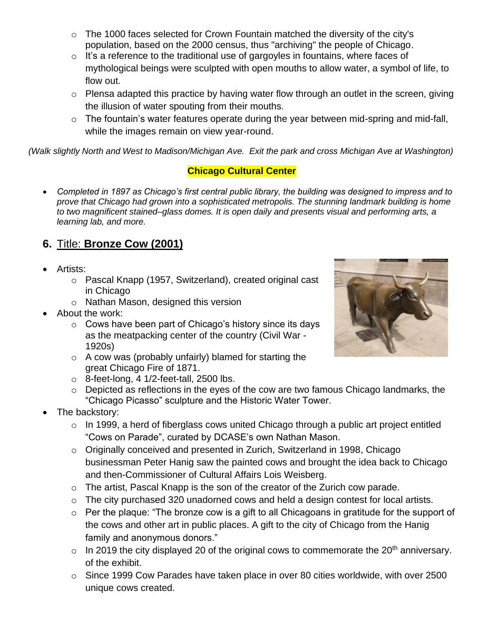- $\circ$  The 1000 faces selected for Crown Fountain matched the diversity of the city's population, based on the 2000 census, thus "archiving" the people of Chicago.
- $\circ$  It's a reference to the traditional use of gargoyles in fountains, where faces of mythological beings were sculpted with open mouths to allow water, a symbol of life, to flow out.
- $\circ$  Plensa adapted this practice by having water flow through an outlet in the screen, giving the illusion of water spouting from their mouths.
- $\circ$  The fountain's water features operate during the year between mid-spring and mid-fall, while the images remain on view year-round.

 *(Walk slightly North and West to Madison/Michigan Ave. Exit the park and cross Michigan Ave at Washington)* 

### **Chicago Cultural Center**

**•** Completed in 1897 as Chicago's first central public library, the building was designed to impress and to  *prove that Chicago had grown into a sophisticated metropolis. The stunning landmark building is home to two magnificent stained–glass domes. It is open daily and presents visual and performing arts, a learning lab, and more.* 

### **6.** Title: **Bronze Cow (2001)**

- Artists:
	- o Pascal Knapp (1957, Switzerland), created original cast in Chicago
	- $\circ$  Nathan Mason, designed this version
- About the work:
	- $\circ$  Cows have been part of Chicago's history since its days as the meatpacking center of the country (Civil War - 1920s)
	- $\circ$  A cow was (probably unfairly) blamed for starting the great Chicago Fire of 1871.
	- $\circ$  8-feet-long, 4 1/2-feet-tall, 2500 lbs.
	- $\circ$  Depicted as reflections in the eyes of the cow are two famous Chicago landmarks, the "Chicago Picasso" sculpture and the Historic Water Tower.
- The backstory:
	- $\circ$  In 1999, a herd of fiberglass cows united Chicago through a public art project entitled "Cows on Parade", curated by DCASE's own Nathan Mason.
	- $\circ$  Originally conceived and presented in Zurich, Switzerland in 1998, Chicago businessman Peter Hanig saw the painted cows and brought the idea back to Chicago and then-Commissioner of Cultural Affairs Lois Weisberg.
	- $\circ$  The artist, Pascal Knapp is the son of the creator of the Zurich cow parade.
	- $\circ$  The city purchased 320 unadorned cows and held a design contest for local artists.
	- $\circ$  Per the plaque: "The bronze cow is a gift to all Chicagoans in gratitude for the support of the cows and other art in public places. A gift to the city of Chicago from the Hanig family and anonymous donors."
	- $\circ$  In 2019 the city displayed 20 of the original cows to commemorate the 20<sup>th</sup> anniversary. of the exhibit.
	- $\circ$  Since 1999 Cow Parades have taken place in over 80 cities worldwide, with over 2500 unique cows created.